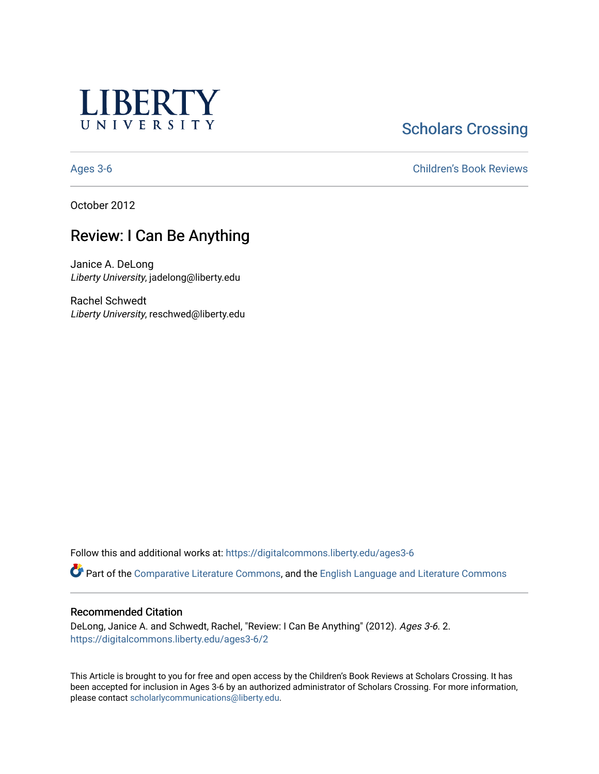

**Scholars Crossing** 

[Ages 3-6](https://digitalcommons.liberty.edu/ages3-6) [Children's Book Reviews](https://digitalcommons.liberty.edu/child_bookrev) 

October 2012

# Review: I Can Be Anything

Janice A. DeLong Liberty University, jadelong@liberty.edu

Rachel Schwedt Liberty University, reschwed@liberty.edu

Follow this and additional works at: [https://digitalcommons.liberty.edu/ages3-6](https://digitalcommons.liberty.edu/ages3-6?utm_source=digitalcommons.liberty.edu%2Fages3-6%2F2&utm_medium=PDF&utm_campaign=PDFCoverPages) 

Part of the [Comparative Literature Commons](http://network.bepress.com/hgg/discipline/454?utm_source=digitalcommons.liberty.edu%2Fages3-6%2F2&utm_medium=PDF&utm_campaign=PDFCoverPages), and the [English Language and Literature Commons](http://network.bepress.com/hgg/discipline/455?utm_source=digitalcommons.liberty.edu%2Fages3-6%2F2&utm_medium=PDF&utm_campaign=PDFCoverPages)

#### Recommended Citation

DeLong, Janice A. and Schwedt, Rachel, "Review: I Can Be Anything" (2012). Ages 3-6. 2. [https://digitalcommons.liberty.edu/ages3-6/2](https://digitalcommons.liberty.edu/ages3-6/2?utm_source=digitalcommons.liberty.edu%2Fages3-6%2F2&utm_medium=PDF&utm_campaign=PDFCoverPages)

This Article is brought to you for free and open access by the Children's Book Reviews at Scholars Crossing. It has been accepted for inclusion in Ages 3-6 by an authorized administrator of Scholars Crossing. For more information, please contact [scholarlycommunications@liberty.edu.](mailto:scholarlycommunications@liberty.edu)